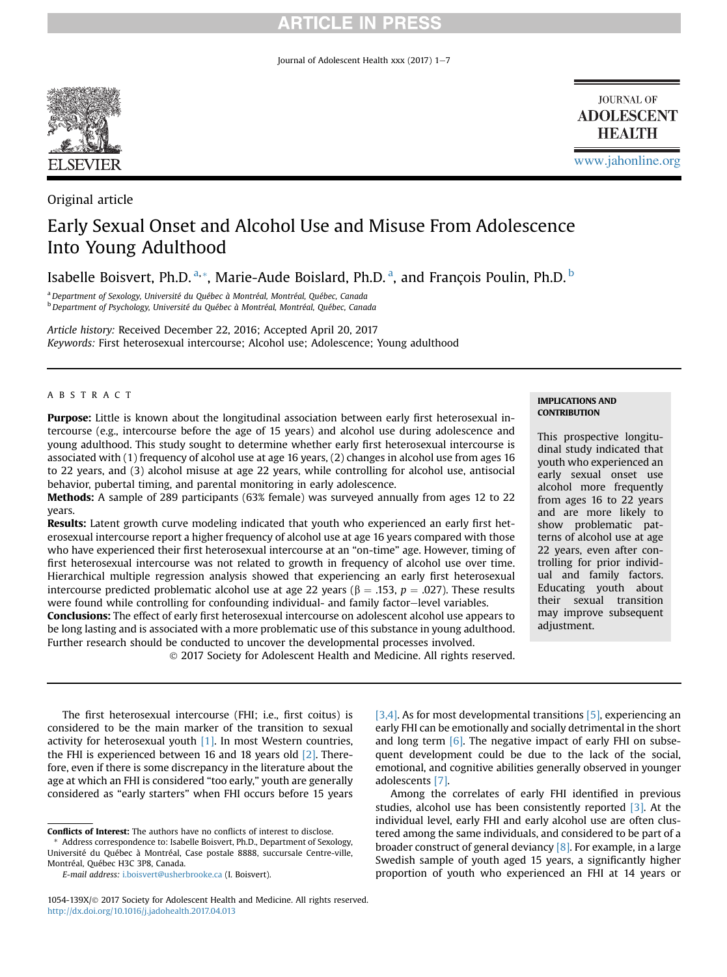## **ARTICLE IN PRESS**

Journal of Adolescent Health xxx (2017)  $1-7$ 



Original article

Early Sexual Onset and Alcohol Use and Misuse From Adolescence Into Young Adulthood

Isabelle Boisvert, Ph.D. <sup>a,</sup>\*, Marie-Aude Boislard, Ph.D. <sup>a</sup>, and François Poulin, Ph.D. <sup>b</sup>

<sup>a</sup> Department of Sexology, Université du Québec à Montréal, Montréal, Québec, Canada <sup>b</sup> Department of Psychology, Université du Québec à Montréal, Montréal, Québec, Canada

Article history: Received December 22, 2016; Accepted April 20, 2017 Keywords: First heterosexual intercourse; Alcohol use; Adolescence; Young adulthood

## ABSTRACT

Purpose: Little is known about the longitudinal association between early first heterosexual intercourse (e.g., intercourse before the age of 15 years) and alcohol use during adolescence and young adulthood. This study sought to determine whether early first heterosexual intercourse is associated with (1) frequency of alcohol use at age 16 years, (2) changes in alcohol use from ages 16 to 22 years, and (3) alcohol misuse at age 22 years, while controlling for alcohol use, antisocial behavior, pubertal timing, and parental monitoring in early adolescence.

Methods: A sample of 289 participants (63% female) was surveyed annually from ages 12 to 22 years.

Results: Latent growth curve modeling indicated that youth who experienced an early first heterosexual intercourse report a higher frequency of alcohol use at age 16 years compared with those who have experienced their first heterosexual intercourse at an "on-time" age. However, timing of first heterosexual intercourse was not related to growth in frequency of alcohol use over time. Hierarchical multiple regression analysis showed that experiencing an early first heterosexual intercourse predicted problematic alcohol use at age 22 years ( $\beta = .153$ ,  $p = .027$ ). These results were found while controlling for confounding individual- and family factor-level variables.

Conclusions: The effect of early first heterosexual intercourse on adolescent alcohol use appears to be long lasting and is associated with a more problematic use of this substance in young adulthood. Further research should be conducted to uncover the developmental processes involved.

2017 Society for Adolescent Health and Medicine. All rights reserved.

## IMPLICATIONS AND **CONTRIBUTION**

This prospective longitudinal study indicated that youth who experienced an early sexual onset use alcohol more frequently from ages 16 to 22 years and are more likely to show problematic patterns of alcohol use at age 22 years, even after controlling for prior individual and family factors. Educating youth about their sexual transition may improve subsequent adjustment.

[www.jahonline.org](http://www.jahonline.org)

**JOURNAL OF ADOLESCENT HEALTH** 

The first heterosexual intercourse (FHI; i.e., first coitus) is considered to be the main marker of the transition to sexual activity for heterosexual youth [\[1\].](#page-5-0) In most Western countries, the FHI is experienced between 16 and 18 years old  $[2]$ . Therefore, even if there is some discrepancy in the literature about the age at which an FHI is considered "too early," youth are generally considered as "early starters" when FHI occurs before 15 years

Address correspondence to: Isabelle Boisvert, Ph.D., Department of Sexology, Université du Québec à Montréal, Case postale 8888, succursale Centre-ville, Montréal, Québec H3C 3P8, Canada.

E-mail address: [i.boisvert@usherbrooke.ca](mailto:i.boisvert@usherbrooke.ca) (I. Boisvert).

[\[3,4\].](#page-5-0) As for most developmental transitions [\[5\],](#page-5-0) experiencing an early FHI can be emotionally and socially detrimental in the short and long term  $[6]$ . The negative impact of early FHI on subsequent development could be due to the lack of the social, emotional, and cognitive abilities generally observed in younger adolescents [\[7\].](#page-5-0)

Among the correlates of early FHI identified in previous studies, alcohol use has been consistently reported  $\begin{bmatrix} 3 \end{bmatrix}$ . At the individual level, early FHI and early alcohol use are often clustered among the same individuals, and considered to be part of a broader construct of general deviancy  $[8]$ . For example, in a large Swedish sample of youth aged 15 years, a significantly higher proportion of youth who experienced an FHI at 14 years or

Conflicts of Interest: The authors have no conflicts of interest to disclose.

<sup>1054-139</sup>X/@ 2017 Society for Adolescent Health and Medicine. All rights reserved. <http://dx.doi.org/10.1016/j.jadohealth.2017.04.013>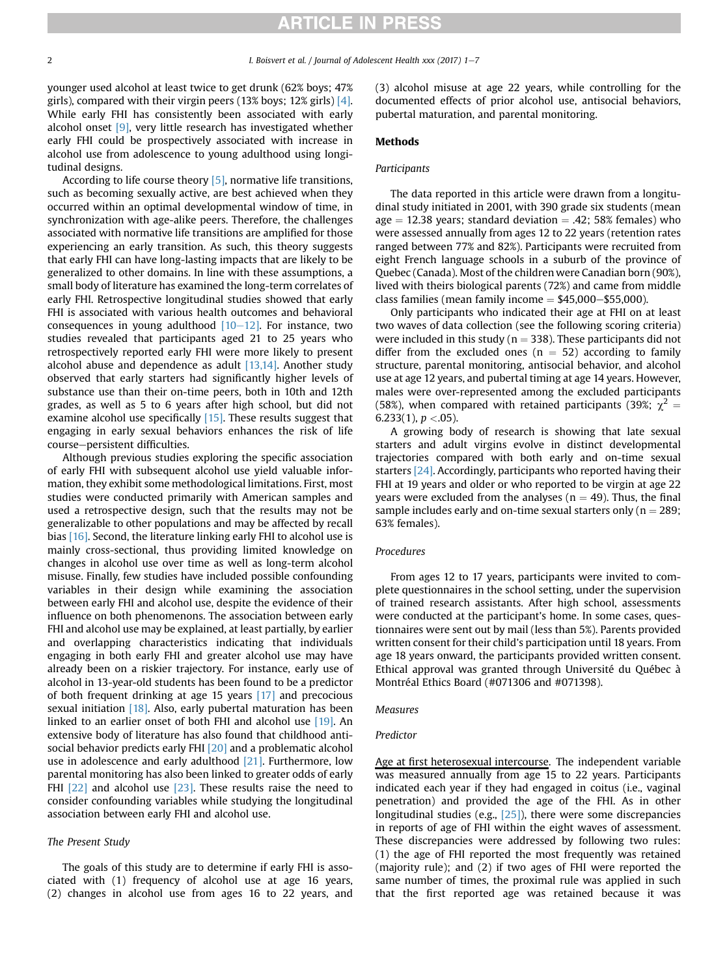younger used alcohol at least twice to get drunk (62% boys; 47% girls), compared with their virgin peers (13% boys; 12% girls) [\[4\].](#page-5-0) While early FHI has consistently been associated with early alcohol onset  $[9]$ , very little research has investigated whether early FHI could be prospectively associated with increase in alcohol use from adolescence to young adulthood using longitudinal designs.

According to life course theory  $[5]$ , normative life transitions, such as becoming sexually active, are best achieved when they occurred within an optimal developmental window of time, in synchronization with age-alike peers. Therefore, the challenges associated with normative life transitions are amplified for those experiencing an early transition. As such, this theory suggests that early FHI can have long-lasting impacts that are likely to be generalized to other domains. In line with these assumptions, a small body of literature has examined the long-term correlates of early FHI. Retrospective longitudinal studies showed that early FHI is associated with various health outcomes and behavioral consequences in young adulthood  $[10-12]$  $[10-12]$ . For instance, two studies revealed that participants aged 21 to 25 years who retrospectively reported early FHI were more likely to present alcohol abuse and dependence as adult [\[13,14\]](#page-5-0). Another study observed that early starters had significantly higher levels of substance use than their on-time peers, both in 10th and 12th grades, as well as 5 to 6 years after high school, but did not examine alcohol use specifically [\[15\].](#page-5-0) These results suggest that engaging in early sexual behaviors enhances the risk of life course-persistent difficulties.

Although previous studies exploring the specific association of early FHI with subsequent alcohol use yield valuable information, they exhibit some methodological limitations. First, most studies were conducted primarily with American samples and used a retrospective design, such that the results may not be generalizable to other populations and may be affected by recall bias [\[16\].](#page-6-0) Second, the literature linking early FHI to alcohol use is mainly cross-sectional, thus providing limited knowledge on changes in alcohol use over time as well as long-term alcohol misuse. Finally, few studies have included possible confounding variables in their design while examining the association between early FHI and alcohol use, despite the evidence of their influence on both phenomenons. The association between early FHI and alcohol use may be explained, at least partially, by earlier and overlapping characteristics indicating that individuals engaging in both early FHI and greater alcohol use may have already been on a riskier trajectory. For instance, early use of alcohol in 13-year-old students has been found to be a predictor of both frequent drinking at age 15 years [\[17\]](#page-6-0) and precocious sexual initiation  $[18]$ . Also, early pubertal maturation has been linked to an earlier onset of both FHI and alcohol use [\[19\]](#page-6-0). An extensive body of literature has also found that childhood antisocial behavior predicts early FHI [\[20\]](#page-6-0) and a problematic alcohol use in adolescence and early adulthood [\[21\].](#page-6-0) Furthermore, low parental monitoring has also been linked to greater odds of early FHI [\[22\]](#page-6-0) and alcohol use [\[23\]](#page-6-0). These results raise the need to consider confounding variables while studying the longitudinal association between early FHI and alcohol use.

#### The Present Study

The goals of this study are to determine if early FHI is associated with (1) frequency of alcohol use at age 16 years, (2) changes in alcohol use from ages 16 to 22 years, and (3) alcohol misuse at age 22 years, while controlling for the documented effects of prior alcohol use, antisocial behaviors, pubertal maturation, and parental monitoring.

#### Methods

#### **Participants**

The data reported in this article were drawn from a longitudinal study initiated in 2001, with 390 grade six students (mean age  $= 12.38$  years; standard deviation  $= .42$ ; 58% females) who were assessed annually from ages 12 to 22 years (retention rates ranged between 77% and 82%). Participants were recruited from eight French language schools in a suburb of the province of Quebec (Canada). Most of the children were Canadian born (90%), lived with theirs biological parents (72%) and came from middle class families (mean family income  $=$  \$45,000 $-$ \$55,000).

Only participants who indicated their age at FHI on at least two waves of data collection (see the following scoring criteria) were included in this study ( $n = 338$ ). These participants did not differ from the excluded ones ( $n = 52$ ) according to family structure, parental monitoring, antisocial behavior, and alcohol use at age 12 years, and pubertal timing at age 14 years. However, males were over-represented among the excluded participants (58%), when compared with retained participants (39%;  $\chi^2 =$ 6.233(1),  $p < 0.05$ ).

A growing body of research is showing that late sexual starters and adult virgins evolve in distinct developmental trajectories compared with both early and on-time sexual starters [\[24\]](#page-6-0). Accordingly, participants who reported having their FHI at 19 years and older or who reported to be virgin at age 22 years were excluded from the analyses ( $n = 49$ ). Thus, the final sample includes early and on-time sexual starters only ( $n = 289$ ; 63% females).

## Procedures

From ages 12 to 17 years, participants were invited to complete questionnaires in the school setting, under the supervision of trained research assistants. After high school, assessments were conducted at the participant's home. In some cases, questionnaires were sent out by mail (less than 5%). Parents provided written consent for their child's participation until 18 years. From age 18 years onward, the participants provided written consent. Ethical approval was granted through Université du Québec à Montréal Ethics Board (#071306 and #071398).

#### Measures

#### Predictor

Age at first heterosexual intercourse. The independent variable was measured annually from age 15 to 22 years. Participants indicated each year if they had engaged in coitus (i.e., vaginal penetration) and provided the age of the FHI. As in other longitudinal studies (e.g., [\[25\]\)](#page-6-0), there were some discrepancies in reports of age of FHI within the eight waves of assessment. These discrepancies were addressed by following two rules: (1) the age of FHI reported the most frequently was retained (majority rule); and (2) if two ages of FHI were reported the same number of times, the proximal rule was applied in such that the first reported age was retained because it was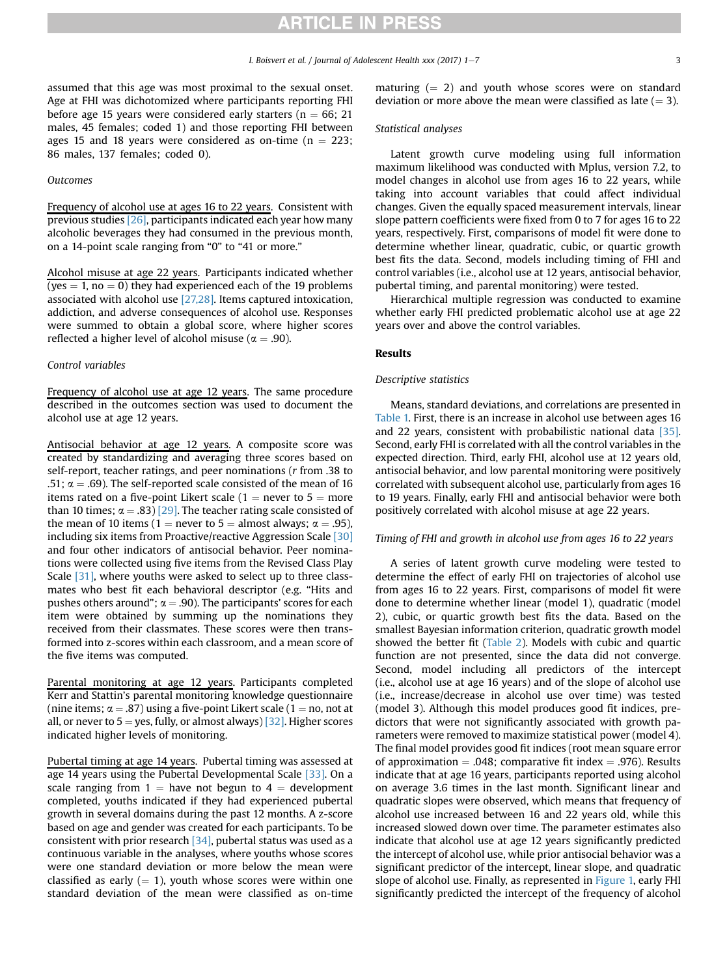assumed that this age was most proximal to the sexual onset. Age at FHI was dichotomized where participants reporting FHI before age 15 years were considered early starters ( $n = 66$ ; 21 males, 45 females; coded 1) and those reporting FHI between ages 15 and 18 years were considered as on-time ( $n = 223$ ; 86 males, 137 females; coded 0).

## **Outcomes**

Frequency of alcohol use at ages 16 to 22 years. Consistent with previous studies [\[26\]](#page-6-0), participants indicated each year how many alcoholic beverages they had consumed in the previous month, on a 14-point scale ranging from "0" to "41 or more."

Alcohol misuse at age 22 years. Participants indicated whether (yes  $= 1$ , no  $= 0$ ) they had experienced each of the 19 problems associated with alcohol use [\[27,28\]](#page-6-0). Items captured intoxication, addiction, and adverse consequences of alcohol use. Responses were summed to obtain a global score, where higher scores reflected a higher level of alcohol misuse ( $\alpha = .90$ ).

## Control variables

Frequency of alcohol use at age 12 years. The same procedure described in the outcomes section was used to document the alcohol use at age 12 years.

Antisocial behavior at age 12 years. A composite score was created by standardizing and averaging three scores based on self-report, teacher ratings, and peer nominations (r from .38 to .51;  $\alpha = .69$ ). The self-reported scale consisted of the mean of 16 items rated on a five-point Likert scale ( $1 =$  never to  $5 =$  more than 10 times;  $\alpha = .83$  [\[29\]](#page-6-0). The teacher rating scale consisted of the mean of 10 items (1 = never to 5 = almost always;  $\alpha = .95$ ), including six items from Proactive/reactive Aggression Scale [\[30\]](#page-6-0) and four other indicators of antisocial behavior. Peer nominations were collected using five items from the Revised Class Play Scale [\[31\]](#page-6-0), where youths were asked to select up to three classmates who best fit each behavioral descriptor (e.g. "Hits and pushes others around";  $\alpha = .90$ ). The participants' scores for each item were obtained by summing up the nominations they received from their classmates. These scores were then transformed into z-scores within each classroom, and a mean score of the five items was computed.

Parental monitoring at age 12 years. Participants completed Kerr and Stattin's parental monitoring knowledge questionnaire (nine items;  $\alpha = .87$ ) using a five-point Likert scale (1 = no, not at all, or never to 5 = yes, fully, or almost always) [\[32\]](#page-6-0). Higher scores indicated higher levels of monitoring.

Pubertal timing at age 14 years. Pubertal timing was assessed at age 14 years using the Pubertal Developmental Scale [\[33\]](#page-6-0). On a scale ranging from  $1 =$  have not begun to  $4 =$  development completed, youths indicated if they had experienced pubertal growth in several domains during the past 12 months. A z-score based on age and gender was created for each participants. To be consistent with prior research [\[34\]](#page-6-0), pubertal status was used as a continuous variable in the analyses, where youths whose scores were one standard deviation or more below the mean were classified as early  $(= 1)$ , youth whose scores were within one standard deviation of the mean were classified as on-time

maturing  $(= 2)$  and youth whose scores were on standard deviation or more above the mean were classified as late  $(= 3)$ .

#### Statistical analyses

Latent growth curve modeling using full information maximum likelihood was conducted with Mplus, version 7.2, to model changes in alcohol use from ages 16 to 22 years, while taking into account variables that could affect individual changes. Given the equally spaced measurement intervals, linear slope pattern coefficients were fixed from 0 to 7 for ages 16 to 22 years, respectively. First, comparisons of model fit were done to determine whether linear, quadratic, cubic, or quartic growth best fits the data. Second, models including timing of FHI and control variables (i.e., alcohol use at 12 years, antisocial behavior, pubertal timing, and parental monitoring) were tested.

Hierarchical multiple regression was conducted to examine whether early FHI predicted problematic alcohol use at age 22 years over and above the control variables.

## Results

#### Descriptive statistics

Means, standard deviations, and correlations are presented in [Table 1.](#page-3-0) First, there is an increase in alcohol use between ages 16 and 22 years, consistent with probabilistic national data  $[35]$ . Second, early FHI is correlated with all the control variables in the expected direction. Third, early FHI, alcohol use at 12 years old, antisocial behavior, and low parental monitoring were positively correlated with subsequent alcohol use, particularly from ages 16 to 19 years. Finally, early FHI and antisocial behavior were both positively correlated with alcohol misuse at age 22 years.

#### Timing of FHI and growth in alcohol use from ages 16 to 22 years

A series of latent growth curve modeling were tested to determine the effect of early FHI on trajectories of alcohol use from ages 16 to 22 years. First, comparisons of model fit were done to determine whether linear (model 1), quadratic (model 2), cubic, or quartic growth best fits the data. Based on the smallest Bayesian information criterion, quadratic growth model showed the better fit ([Table 2\)](#page-4-0). Models with cubic and quartic function are not presented, since the data did not converge. Second, model including all predictors of the intercept (i.e., alcohol use at age 16 years) and of the slope of alcohol use (i.e., increase/decrease in alcohol use over time) was tested (model 3). Although this model produces good fit indices, predictors that were not significantly associated with growth parameters were removed to maximize statistical power (model 4). The final model provides good fit indices (root mean square error of approximation  $= .048$ ; comparative fit index  $= .976$ ). Results indicate that at age 16 years, participants reported using alcohol on average 3.6 times in the last month. Significant linear and quadratic slopes were observed, which means that frequency of alcohol use increased between 16 and 22 years old, while this increased slowed down over time. The parameter estimates also indicate that alcohol use at age 12 years significantly predicted the intercept of alcohol use, while prior antisocial behavior was a significant predictor of the intercept, linear slope, and quadratic slope of alcohol use. Finally, as represented in [Figure 1,](#page-4-0) early FHI significantly predicted the intercept of the frequency of alcohol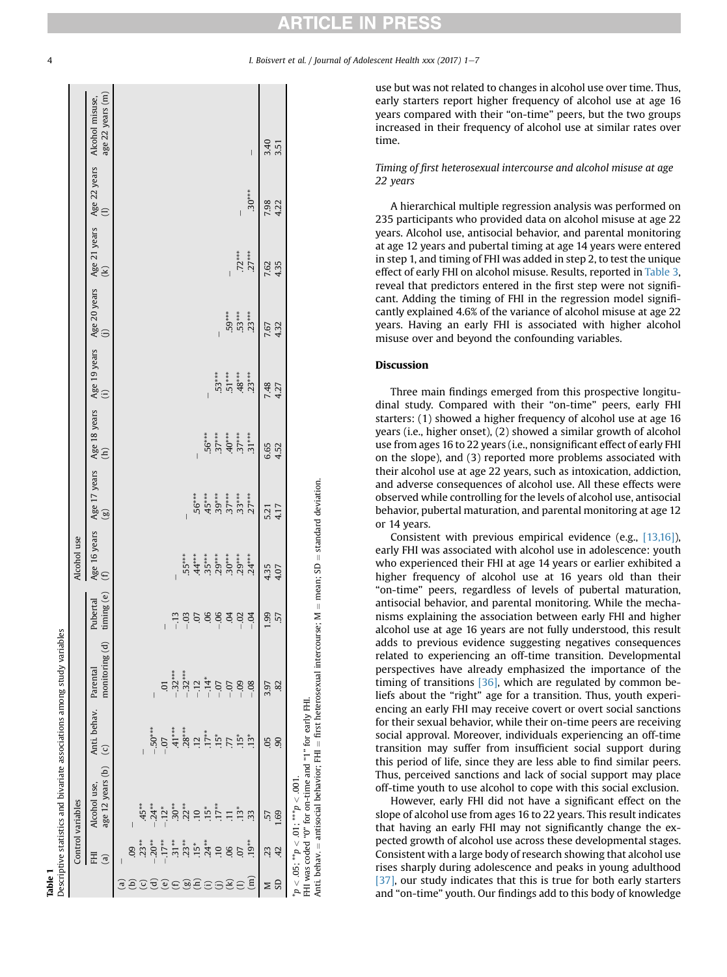Table 1

# **ARTICLE IN PRESS**

<span id="page-3-0"></span>4 I. Boisvert et al. / Journal of Adolescent Health xxx (2017) 1-7

J.

|                            |                      | Control variables                                                                                            |                                     |                    |                                                                                                           | Alcohol use             |                                                                                                                                                                                                                                                                                                                                                                                |                                              |                               |                                                                                    |                               |                               |                                     |
|----------------------------|----------------------|--------------------------------------------------------------------------------------------------------------|-------------------------------------|--------------------|-----------------------------------------------------------------------------------------------------------|-------------------------|--------------------------------------------------------------------------------------------------------------------------------------------------------------------------------------------------------------------------------------------------------------------------------------------------------------------------------------------------------------------------------|----------------------------------------------|-------------------------------|------------------------------------------------------------------------------------|-------------------------------|-------------------------------|-------------------------------------|
|                            | EEI<br>$\mathbf{a})$ | age 12 years (b)<br>Alcohol use,                                                                             | Anti. behav. Parental<br>$\epsilon$ | (g(d)<br>monitorin | timing (e)<br>Pubertal                                                                                    | Age 16 years<br>$\odot$ | Age 17 years<br>$\mathfrak{B}$                                                                                                                                                                                                                                                                                                                                                 | Age 18 years<br>$\widehat{E}$                | Age 19 years<br>$\widehat{c}$ | Age 20 years<br>$\widehat{\Theta}$                                                 | Age 21 years<br>$\widehat{f}$ | Age 22 years<br>$\widehat{=}$ | age 22 years (m)<br>Alcohol misuse, |
| ē                          |                      |                                                                                                              |                                     |                    |                                                                                                           |                         |                                                                                                                                                                                                                                                                                                                                                                                |                                              |                               |                                                                                    |                               |                               |                                     |
| <u>َ</u> مَ                |                      |                                                                                                              |                                     |                    |                                                                                                           |                         |                                                                                                                                                                                                                                                                                                                                                                                |                                              |                               |                                                                                    |                               |                               |                                     |
|                            | $.23**$              |                                                                                                              | I                                   |                    |                                                                                                           |                         |                                                                                                                                                                                                                                                                                                                                                                                |                                              |                               |                                                                                    |                               |                               |                                     |
| ತ                          | $-20**$              | $.24**$                                                                                                      | $-.50***$                           |                    |                                                                                                           |                         |                                                                                                                                                                                                                                                                                                                                                                                |                                              |                               |                                                                                    |                               |                               |                                     |
| $\left[ \mathsf{e}\right]$ | ř                    | $-12*$                                                                                                       | $-0.7$                              |                    |                                                                                                           |                         |                                                                                                                                                                                                                                                                                                                                                                                |                                              |                               |                                                                                    |                               |                               |                                     |
|                            | $21*$                | $30**$                                                                                                       | $-41***$                            | $-32***$           |                                                                                                           | $\overline{1}$          |                                                                                                                                                                                                                                                                                                                                                                                |                                              |                               |                                                                                    |                               |                               |                                     |
| 60                         | $23**$               | $22**$                                                                                                       | $28***$                             | $-32***$           | $\begin{array}{cccc}\n 1 & 0 & 0 & 0 & 0 \\ - & 0 & 0 & 0 & 0 & 0 \\ - & 0 & 0 & 0 & 0 & 0\n \end{array}$ |                         | $\overline{1}$                                                                                                                                                                                                                                                                                                                                                                 |                                              |                               |                                                                                    |                               |                               |                                     |
|                            | $.15*$               | $\overline{.10}$                                                                                             | $\overline{12}$                     | ر<br>-<br>-        |                                                                                                           |                         |                                                                                                                                                                                                                                                                                                                                                                                | $\overline{1}$                               |                               |                                                                                    |                               |                               |                                     |
|                            | $24**$               | $15^*$                                                                                                       | $.17***$                            | $-14$              |                                                                                                           |                         |                                                                                                                                                                                                                                                                                                                                                                                |                                              |                               |                                                                                    |                               |                               |                                     |
|                            | $\overline{.10}$     | $.17**$                                                                                                      | $15*$                               | $-0.07$            |                                                                                                           |                         |                                                                                                                                                                                                                                                                                                                                                                                |                                              |                               |                                                                                    |                               |                               |                                     |
|                            | 06                   |                                                                                                              | ŗ<br>$\ddot{.}$                     | $-0.07$            | $\ddot{q}$                                                                                                |                         |                                                                                                                                                                                                                                                                                                                                                                                | $55$<br>$77$<br>$40$<br>$77$<br>$47$<br>$57$ | $53***$<br>$53***$<br>$48***$ |                                                                                    |                               |                               |                                     |
|                            | 07                   | $.13*$                                                                                                       | $15*$                               | $-0.9$             | $-0.02$                                                                                                   |                         | $\begin{array}{l} 56^{***} \\ 45^{***} \\ 39^{***} \\ 79^{***} \\ 89^{***} \\ 125^{***} \\ 159^{***} \\ 159^{***} \\ 159^{***} \\ 159^{***} \\ 159^{***} \\ 159^{***} \\ 159^{***} \\ 159^{***} \\ 159^{***} \\ 159^{***} \\ 159^{***} \\ 159^{***} \\ 159^{***} \\ 159^{***} \\ 159^{***} \\ 159^{***} \\ 159^{***} \\ 159^{***} \\ 159^{***} \\ 159^{***} \\ 159^{***} \\ 1$ |                                              |                               | $\begin{matrix}55\ \ 5\ \ 5\ \ 1\ \ 0\ \ 0\ \ 0\ \ 0\ \ 0\ \ 0\ \ 0\ \end{matrix}$ | $.72***$<br>27***             | $\overline{1}$                |                                     |
| Ê                          | $.19**$              | 33                                                                                                           | $.13*$                              | $-0.8$             | $-0.04$                                                                                                   |                         |                                                                                                                                                                                                                                                                                                                                                                                | $31***$                                      | $23***$                       |                                                                                    |                               | $.30***$                      | $\overline{\phantom{a}}$            |
| ⋝                          | 23                   | 57                                                                                                           | 9                                   | 3.97               | 1.99                                                                                                      | 4.35                    | 5.21                                                                                                                                                                                                                                                                                                                                                                           | 6.65                                         | 7.48                          | 7.67                                                                               | 7.62                          | 7.98                          |                                     |
| GS                         | $\overline{42}$      | <b>C9</b>                                                                                                    | 90                                  | 82                 | 57                                                                                                        | 4.07                    | 4.17                                                                                                                                                                                                                                                                                                                                                                           | 4.52                                         | 4.27                          | 4.32                                                                               | 4.35                          | 4.22                          | 3.40<br>3.51                        |
|                            |                      | FHI was coded "0" for on-time and "1" for early FHI.<br>$p < .05;$ **p < .01; ***p < .001                    |                                     |                    |                                                                                                           |                         |                                                                                                                                                                                                                                                                                                                                                                                |                                              |                               |                                                                                    |                               |                               |                                     |
|                            |                      | Anti. behav. = antisocial behavior; FHI = first heterosexual intercourse: M = mean; SD = standard deviation. |                                     |                    |                                                                                                           |                         |                                                                                                                                                                                                                                                                                                                                                                                |                                              |                               |                                                                                    |                               |                               |                                     |

use but was not related to changes in alcohol use over time. Thus, early starters report higher frequency of alcohol use at age 16 years compared with their "on-time" peers, but the two groups increased in their frequency of alcohol use at similar rates over time.

## Timing of first heterosexual intercourse and alcohol misuse at age 22 years

A hierarchical multiple regression analysis was performed on 235 participants who provided data on alcohol misuse at age 22 years. Alcohol use, antisocial behavior, and parental monitoring at age 12 years and pubertal timing at age 14 years were entered in step 1, and timing of FHI was added in step 2, to test the unique effect of early FHI on alcohol misuse. Results, reported in [Table 3,](#page-5-0) reveal that predictors entered in the first step were not significant. Adding the timing of FHI in the regression model significantly explained 4.6% of the variance of alcohol misuse at age 22 years. Having an early FHI is associated with higher alcohol misuse over and beyond the confounding variables.

## Discussion

Three main findings emerged from this prospective longitudinal study. Compared with their "on-time" peers, early FHI starters: (1) showed a higher frequency of alcohol use at age 16 years (i.e., higher onset), (2) showed a similar growth of alcohol use from ages 16 to 22 years (i.e., nonsignificant effect of early FHI on the slope), and (3) reported more problems associated with their alcohol use at age 22 years, such as intoxication, addiction, and adverse consequences of alcohol use. All these effects were observed while controlling for the levels of alcohol use, antisocial behavior, pubertal maturation, and parental monitoring at age 12 or 14 years.

Consistent with previous empirical evidence (e.g., [\[13,16\]\)](#page-5-0), early FHI was associated with alcohol use in adolescence: youth who experienced their FHI at age 14 years or earlier exhibited a higher frequency of alcohol use at 16 years old than their "on-time" peers, regardless of levels of pubertal maturation, antisocial behavior, and parental monitoring. While the mechanisms explaining the association between early FHI and higher alcohol use at age 16 years are not fully understood, this result adds to previous evidence suggesting negatives consequences related to experiencing an off-time transition. Developmental perspectives have already emphasized the importance of the timing of transitions  $[36]$ , which are regulated by common beliefs about the "right" age for a transition. Thus, youth experiencing an early FHI may receive covert or overt social sanctions for their sexual behavior, while their on-time peers are receiving social approval. Moreover, individuals experiencing an off-time transition may suffer from insufficient social support during this period of life, since they are less able to find similar peers. Thus, perceived sanctions and lack of social support may place off-time youth to use alcohol to cope with this social exclusion.

However, early FHI did not have a significant effect on the slope of alcohol use from ages 16 to 22 years. This result indicates that having an early FHI may not significantly change the expected growth of alcohol use across these developmental stages. Consistent with a large body of research showing that alcohol use rises sharply during adolescence and peaks in young adulthood [\[37\],](#page-6-0) our study indicates that this is true for both early starters and "on-time" youth. Our findings add to this body of knowledge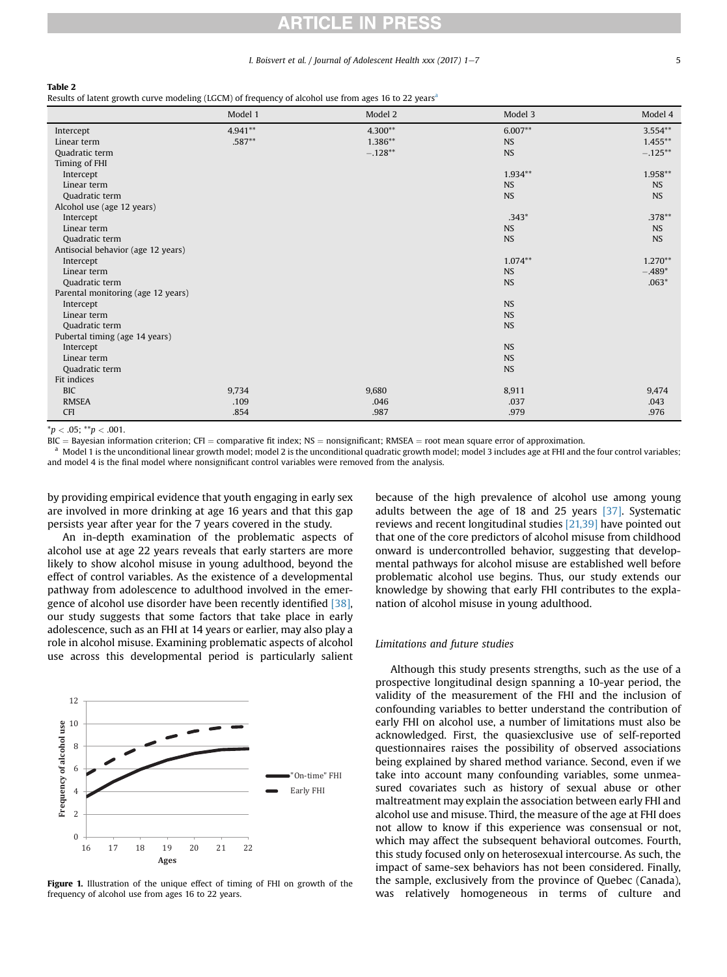# **RTICLE IN PRES**

#### I. Boisvert et al. / Journal of Adolescent Health xxx (2017) 1-7 5

#### <span id="page-4-0"></span>Table 2

Results of latent growth curve modeling (LGCM) of frequency of alcohol use from ages 16 to 22 years<sup>a</sup>

|                                    | Model 1   | Model 2   | Model 3   | Model 4    |
|------------------------------------|-----------|-----------|-----------|------------|
| Intercept                          | $4.941**$ | $4.300**$ | $6.007**$ | $3.554**$  |
| Linear term                        | $.587**$  | 1.386**   | <b>NS</b> | $1.455***$ |
| Quadratic term                     |           | $-.128**$ | <b>NS</b> | $-.125***$ |
| Timing of FHI                      |           |           |           |            |
| Intercept                          |           |           | 1.934**   | 1.958**    |
| Linear term                        |           |           | <b>NS</b> | <b>NS</b>  |
| Quadratic term                     |           |           | <b>NS</b> | <b>NS</b>  |
| Alcohol use (age 12 years)         |           |           |           |            |
| Intercept                          |           |           | $.343*$   | .378**     |
| Linear term                        |           |           | <b>NS</b> | <b>NS</b>  |
| Quadratic term                     |           |           | <b>NS</b> | <b>NS</b>  |
| Antisocial behavior (age 12 years) |           |           |           |            |
| Intercept                          |           |           | $1.074**$ | $1.270**$  |
| Linear term                        |           |           | <b>NS</b> | $-.489*$   |
| Quadratic term                     |           |           | <b>NS</b> | $.063*$    |
| Parental monitoring (age 12 years) |           |           |           |            |
| Intercept                          |           |           | <b>NS</b> |            |
| Linear term                        |           |           | <b>NS</b> |            |
| Quadratic term                     |           |           | <b>NS</b> |            |
| Pubertal timing (age 14 years)     |           |           |           |            |
| Intercept                          |           |           | <b>NS</b> |            |
| Linear term                        |           |           | <b>NS</b> |            |
| Quadratic term                     |           |           | <b>NS</b> |            |
| Fit indices                        |           |           |           |            |
| BIC                                | 9,734     | 9,680     | 8,911     | 9,474      |
| <b>RMSEA</b>                       | .109      | .046      | .037      | .043       |
| <b>CFI</b>                         | .854      | .987      | .979      | .976       |

 $*p < .05; **p < .001$ .<br>BIC = Bayesian information criterion; CFI = comparative fit index; NS = nonsignificant; RMSEA = root mean square error of approximation.

<sup>a</sup> Model 1 is the unconditional linear growth model; model 2 is the unconditional quadratic growth model; model 3 includes age at FHI and the four control variables; and model 4 is the final model where nonsignificant control variables were removed from the analysis.

by providing empirical evidence that youth engaging in early sex are involved in more drinking at age 16 years and that this gap persists year after year for the 7 years covered in the study.

An in-depth examination of the problematic aspects of alcohol use at age 22 years reveals that early starters are more likely to show alcohol misuse in young adulthood, beyond the effect of control variables. As the existence of a developmental pathway from adolescence to adulthood involved in the emergence of alcohol use disorder have been recently identified [\[38\],](#page-6-0) our study suggests that some factors that take place in early adolescence, such as an FHI at 14 years or earlier, may also play a role in alcohol misuse. Examining problematic aspects of alcohol use across this developmental period is particularly salient



Figure 1. Illustration of the unique effect of timing of FHI on growth of the frequency of alcohol use from ages 16 to 22 years.

because of the high prevalence of alcohol use among young adults between the age of 18 and 25 years  $[37]$ . Systematic reviews and recent longitudinal studies [\[21,39\]](#page-6-0) have pointed out that one of the core predictors of alcohol misuse from childhood onward is undercontrolled behavior, suggesting that developmental pathways for alcohol misuse are established well before problematic alcohol use begins. Thus, our study extends our knowledge by showing that early FHI contributes to the explanation of alcohol misuse in young adulthood.

#### Limitations and future studies

Although this study presents strengths, such as the use of a prospective longitudinal design spanning a 10-year period, the validity of the measurement of the FHI and the inclusion of confounding variables to better understand the contribution of early FHI on alcohol use, a number of limitations must also be acknowledged. First, the quasiexclusive use of self-reported questionnaires raises the possibility of observed associations being explained by shared method variance. Second, even if we take into account many confounding variables, some unmeasured covariates such as history of sexual abuse or other maltreatment may explain the association between early FHI and alcohol use and misuse. Third, the measure of the age at FHI does not allow to know if this experience was consensual or not, which may affect the subsequent behavioral outcomes. Fourth, this study focused only on heterosexual intercourse. As such, the impact of same-sex behaviors has not been considered. Finally, the sample, exclusively from the province of Quebec (Canada), was relatively homogeneous in terms of culture and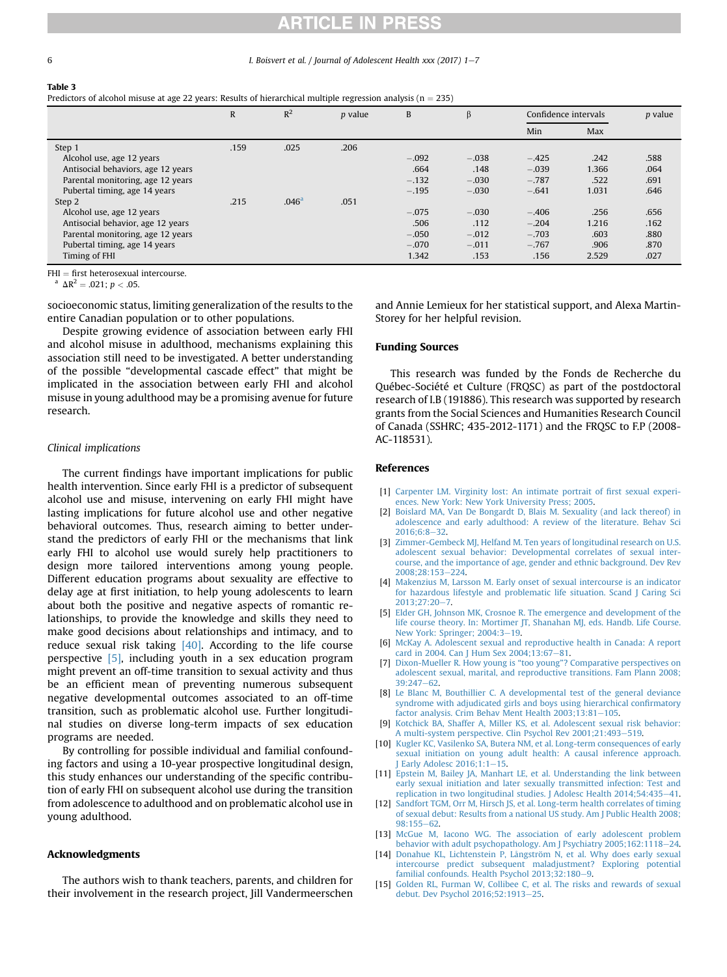# **ARTICLE IN PRESS**

## <span id="page-5-0"></span>6 **I. Boisvert et al. / Journal of Adolescent Health xxx** (2017) 1-7

## Table 3

Predictors of alcohol misuse at age 22 years: Results of hierarchical multiple regression analysis ( $n = 235$ )

|                                    | $\mathbb{R}$ | $R^2$             | <i>p</i> value | B       | β       | Confidence intervals |       | $p$ value |
|------------------------------------|--------------|-------------------|----------------|---------|---------|----------------------|-------|-----------|
|                                    |              |                   |                |         |         | Min                  | Max   |           |
| Step 1                             | .159         | .025              | .206           |         |         |                      |       |           |
| Alcohol use, age 12 years          |              |                   |                | $-.092$ | $-.038$ | $-.425$              | .242  | .588      |
| Antisocial behaviors, age 12 years |              |                   |                | .664    | .148    | $-.039$              | 1.366 | .064      |
| Parental monitoring, age 12 years  |              |                   |                | $-.132$ | $-.030$ | $-.787$              | .522  | .691      |
| Pubertal timing, age 14 years      |              |                   |                | $-.195$ | $-.030$ | $-.641$              | 1.031 | .646      |
| Step 2                             | .215         | .046 <sup>3</sup> | .051           |         |         |                      |       |           |
| Alcohol use, age 12 years          |              |                   |                | $-.075$ | $-.030$ | $-.406$              | .256  | .656      |
| Antisocial behavior, age 12 years  |              |                   |                | .506    | .112    | $-.204$              | 1.216 | .162      |
| Parental monitoring, age 12 years  |              |                   |                | $-.050$ | $-.012$ | $-.703$              | .603  | .880      |
| Pubertal timing, age 14 years      |              |                   |                | $-.070$ | $-.011$ | $-.767$              | .906  | .870      |
| Timing of FHI                      |              |                   |                | 1.342   | .153    | .156                 | 2.529 | .027      |

FHI = first heterosexual intercourse.<br> $A^{a} \Delta R^{2} = .021$ ;  $p < .05$ .

socioeconomic status, limiting generalization of the results to the entire Canadian population or to other populations.

Despite growing evidence of association between early FHI and alcohol misuse in adulthood, mechanisms explaining this association still need to be investigated. A better understanding of the possible "developmental cascade effect" that might be implicated in the association between early FHI and alcohol misuse in young adulthood may be a promising avenue for future research.

## Clinical implications

The current findings have important implications for public health intervention. Since early FHI is a predictor of subsequent alcohol use and misuse, intervening on early FHI might have lasting implications for future alcohol use and other negative behavioral outcomes. Thus, research aiming to better understand the predictors of early FHI or the mechanisms that link early FHI to alcohol use would surely help practitioners to design more tailored interventions among young people. Different education programs about sexuality are effective to delay age at first initiation, to help young adolescents to learn about both the positive and negative aspects of romantic relationships, to provide the knowledge and skills they need to make good decisions about relationships and intimacy, and to reduce sexual risk taking  $[40]$ . According to the life course perspective [5], including youth in a sex education program might prevent an off-time transition to sexual activity and thus be an efficient mean of preventing numerous subsequent negative developmental outcomes associated to an off-time transition, such as problematic alcohol use. Further longitudinal studies on diverse long-term impacts of sex education programs are needed.

By controlling for possible individual and familial confounding factors and using a 10-year prospective longitudinal design, this study enhances our understanding of the specific contribution of early FHI on subsequent alcohol use during the transition from adolescence to adulthood and on problematic alcohol use in young adulthood.

## Acknowledgments

The authors wish to thank teachers, parents, and children for their involvement in the research project, Jill Vandermeerschen and Annie Lemieux for her statistical support, and Alexa Martin-Storey for her helpful revision.

## Funding Sources

This research was funded by the Fonds de Recherche du Québec-Société et Culture (FRQSC) as part of the postdoctoral research of I.B (191886). This research was supported by research grants from the Social Sciences and Humanities Research Council of Canada (SSHRC; 435-2012-1171) and the FRQSC to F.P (2008- AC-118531).

#### References

- [1] [Carpenter LM. Virginity lost: An intimate portrait of](http://refhub.elsevier.com/S1054-139X(17)30205-7/sref1) first sexual experi[ences. New York: New York University Press; 2005](http://refhub.elsevier.com/S1054-139X(17)30205-7/sref1).
- [2] Boislard MA, Van De Bongardt D, Blais M, Sexuality (and lack thereof) in [adolescence and early adulthood: A review of the literature. Behav Sci](http://refhub.elsevier.com/S1054-139X(17)30205-7/serf2) 2016:6:8-[32](http://refhub.elsevier.com/S1054-139X(17)30205-7/serf2).
- [3] [Zimmer-Gembeck MJ, Helfand M. Ten years of longitudinal research on U.S.](http://refhub.elsevier.com/S1054-139X(17)30205-7/sref3) [adolescent sexual behavior: Developmental correlates of sexual inter](http://refhub.elsevier.com/S1054-139X(17)30205-7/sref3)[course, and the importance of age, gender and ethnic background. Dev Rev](http://refhub.elsevier.com/S1054-139X(17)30205-7/sref3) 2008:28:153-[224.](http://refhub.elsevier.com/S1054-139X(17)30205-7/sref3)
- [4] [Makenzius M, Larsson M. Early onset of sexual intercourse is an indicator](http://refhub.elsevier.com/S1054-139X(17)30205-7/sref4) [for hazardous lifestyle and problematic life situation. Scand J Caring Sci](http://refhub.elsevier.com/S1054-139X(17)30205-7/sref4)  $2013:27:20 - 7$  $2013:27:20 - 7$  $2013:27:20 - 7$ .
- [5] [Elder GH, Johnson MK, Crosnoe R. The emergence and development of the](http://refhub.elsevier.com/S1054-139X(17)30205-7/sref5) [life course theory. In: Mortimer JT, Shanahan MJ, eds. Handb. Life Course.](http://refhub.elsevier.com/S1054-139X(17)30205-7/sref5) [New York: Springer; 2004:3](http://refhub.elsevier.com/S1054-139X(17)30205-7/sref5)-[19](http://refhub.elsevier.com/S1054-139X(17)30205-7/sref5).
- [6] [McKay A. Adolescent sexual and reproductive health in Canada: A report](http://refhub.elsevier.com/S1054-139X(17)30205-7/sref6) [card in 2004. Can J Hum Sex 2004;13:67](http://refhub.elsevier.com/S1054-139X(17)30205-7/sref6)-[81](http://refhub.elsevier.com/S1054-139X(17)30205-7/sref6).
- [Dixon-Mueller R. How young is](http://refhub.elsevier.com/S1054-139X(17)30205-7/sref7) "too young"? Comparative perspectives on [adolescent sexual, marital, and reproductive transitions. Fam Plann 2008;](http://refhub.elsevier.com/S1054-139X(17)30205-7/sref7)  $39:247-62$  $39:247-62$  $39:247-62$
- [8] [Le Blanc M, Bouthillier C. A developmental test of the general deviance](http://refhub.elsevier.com/S1054-139X(17)30205-7/sref8) [syndrome with adjudicated girls and boys using hierarchical con](http://refhub.elsevier.com/S1054-139X(17)30205-7/sref8)firmatory [factor analysis. Crim Behav Ment Health 2003;13:81](http://refhub.elsevier.com/S1054-139X(17)30205-7/sref8)-[105](http://refhub.elsevier.com/S1054-139X(17)30205-7/sref8).
- [9] [Kotchick BA, Shaffer A, Miller KS, et al. Adolescent sexual risk behavior:](http://refhub.elsevier.com/S1054-139X(17)30205-7/sref9) [A multi-system perspective. Clin Psychol Rev 2001;21:493](http://refhub.elsevier.com/S1054-139X(17)30205-7/sref9)-[519.](http://refhub.elsevier.com/S1054-139X(17)30205-7/sref9)
- [10] [Kugler KC, Vasilenko SA, Butera NM, et al. Long-term consequences of early](http://refhub.elsevier.com/S1054-139X(17)30205-7/sref10) [sexual initiation on young adult health: A causal inference approach.](http://refhub.elsevier.com/S1054-139X(17)30205-7/sref10) Early Adolesc  $2016:1:1-15$  $2016:1:1-15$ .
- [11] [Epstein M, Bailey JA, Manhart LE, et al. Understanding the link between](http://refhub.elsevier.com/S1054-139X(17)30205-7/sref11) [early sexual initiation and later sexually transmitted infection: Test and](http://refhub.elsevier.com/S1054-139X(17)30205-7/sref11) [replication in two longitudinal studies. J Adolesc Health 2014;54:435](http://refhub.elsevier.com/S1054-139X(17)30205-7/sref11)-[41](http://refhub.elsevier.com/S1054-139X(17)30205-7/sref11).
- [12] [Sandfort TGM, Orr M, Hirsch JS, et al. Long-term health correlates of timing](http://refhub.elsevier.com/S1054-139X(17)30205-7/sref12) [of sexual debut: Results from a national US study. Am J Public Health 2008;](http://refhub.elsevier.com/S1054-139X(17)30205-7/sref12) [98:155](http://refhub.elsevier.com/S1054-139X(17)30205-7/sref12)-[62.](http://refhub.elsevier.com/S1054-139X(17)30205-7/sref12)
- [13] [McGue M, Iacono WG. The association of early adolescent problem](http://refhub.elsevier.com/S1054-139X(17)30205-7/sref13) [behavior with adult psychopathology. Am J Psychiatry 2005;162:1118](http://refhub.elsevier.com/S1054-139X(17)30205-7/sref13)-[24](http://refhub.elsevier.com/S1054-139X(17)30205-7/sref13).
- [14] [Donahue KL, Lichtenstein P, Långström N, et al. Why does early sexual](http://refhub.elsevier.com/S1054-139X(17)30205-7/sref14) [intercourse predict subsequent maladjustment? Exploring potential](http://refhub.elsevier.com/S1054-139X(17)30205-7/sref14) [familial confounds. Health Psychol 2013;32:180](http://refhub.elsevier.com/S1054-139X(17)30205-7/sref14)-[9](http://refhub.elsevier.com/S1054-139X(17)30205-7/sref14).
- [15] [Golden RL, Furman W, Collibee C, et al. The risks and rewards of sexual](http://refhub.elsevier.com/S1054-139X(17)30205-7/sref15) [debut. Dev Psychol 2016;52:1913](http://refhub.elsevier.com/S1054-139X(17)30205-7/sref15)-[25](http://refhub.elsevier.com/S1054-139X(17)30205-7/sref15).